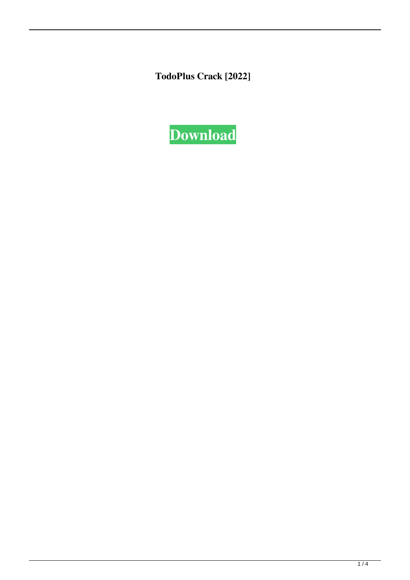**TodoPlus Crack [2022]**

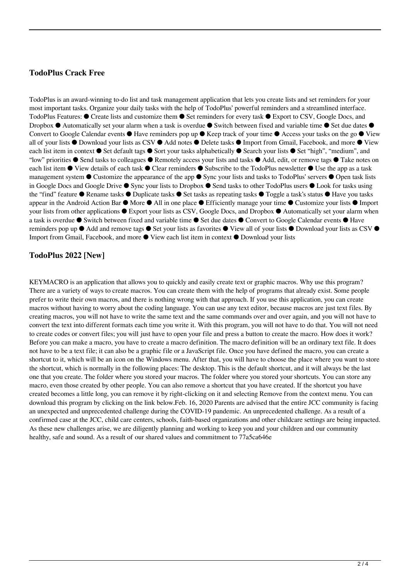### **TodoPlus Crack Free**

TodoPlus is an award-winning to-do list and task management application that lets you create lists and set reminders for your most important tasks. Organize your daily tasks with the help of TodoPlus' powerful reminders and a streamlined interface. TodoPlus Features: ● Create lists and customize them ● Set reminders for every task ● Export to CSV, Google Docs, and Dropbox ● Automatically set your alarm when a task is overdue ● Switch between fixed and variable time ● Set due dates  $\theta$ Convert to Google Calendar events ● Have reminders pop up ● Keep track of your time ● Access your tasks on the go ● View all of your lists ● Download your lists as CSV ● Add notes ● Delete tasks ● Import from Gmail, Facebook, and more ● View each list item in context ● Set default tags ● Sort your tasks alphabetically ● Search your lists ● Set "high", "medium", and "low" priorities ● Send tasks to colleagues ● Remotely access your lists and tasks ● Add, edit, or remove tags ● Take notes on each list item ● View details of each task ● Clear reminders ● Subscribe to the TodoPlus newsletter ● Use the app as a task management system ● Customize the appearance of the app ● Sync your lists and tasks to TodoPlus' servers ● Open task lists in Google Docs and Google Drive ● Sync your lists to Dropbox ● Send tasks to other TodoPlus users ● Look for tasks using the "find" feature ● Rename tasks ● Duplicate tasks ● Set tasks as repeating tasks ● Toggle a task's status ● Have you tasks appear in the Android Action Bar ● More ● All in one place ● Efficiently manage your time ● Customize your lists ● Import your lists from other applications ● Export your lists as CSV, Google Docs, and Dropbox ● Automatically set your alarm when a task is overdue ● Switch between fixed and variable time ● Set due dates ● Convert to Google Calendar events ● Have reminders pop up ● Add and remove tags ● Set your lists as favorites ● View all of your lists ● Download your lists as CSV ● Import from Gmail, Facebook, and more ● View each list item in context ● Download your lists

## **TodoPlus 2022 [New]**

KEYMACRO is an application that allows you to quickly and easily create text or graphic macros. Why use this program? There are a variety of ways to create macros. You can create them with the help of programs that already exist. Some people prefer to write their own macros, and there is nothing wrong with that approach. If you use this application, you can create macros without having to worry about the coding language. You can use any text editor, because macros are just text files. By creating macros, you will not have to write the same text and the same commands over and over again, and you will not have to convert the text into different formats each time you write it. With this program, you will not have to do that. You will not need to create codes or convert files; you will just have to open your file and press a button to create the macro. How does it work? Before you can make a macro, you have to create a macro definition. The macro definition will be an ordinary text file. It does not have to be a text file; it can also be a graphic file or a JavaScript file. Once you have defined the macro, you can create a shortcut to it, which will be an icon on the Windows menu. After that, you will have to choose the place where you want to store the shortcut, which is normally in the following places: The desktop. This is the default shortcut, and it will always be the last one that you create. The folder where you stored your macros. The folder where you stored your shortcuts. You can store any macro, even those created by other people. You can also remove a shortcut that you have created. If the shortcut you have created becomes a little long, you can remove it by right-clicking on it and selecting Remove from the context menu. You can download this program by clicking on the link below.Feb. 16, 2020 Parents are advised that the entire JCC community is facing an unexpected and unprecedented challenge during the COVID-19 pandemic. An unprecedented challenge. As a result of a confirmed case at the JCC, child care centers, schools, faith-based organizations and other childcare settings are being impacted. As these new challenges arise, we are diligently planning and working to keep you and your children and our community healthy, safe and sound. As a result of our shared values and commitment to 77a5ca646e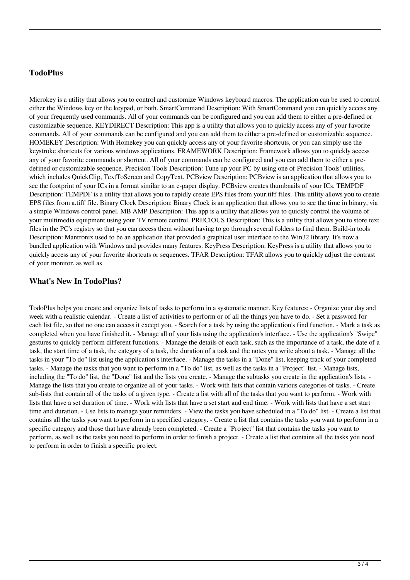### **TodoPlus**

Microkey is a utility that allows you to control and customize Windows keyboard macros. The application can be used to control either the Windows key or the keypad, or both. SmartCommand Description: With SmartCommand you can quickly access any of your frequently used commands. All of your commands can be configured and you can add them to either a pre-defined or customizable sequence. KEYDIRECT Description: This app is a utility that allows you to quickly access any of your favorite commands. All of your commands can be configured and you can add them to either a pre-defined or customizable sequence. HOMEKEY Description: With Homekey you can quickly access any of your favorite shortcuts, or you can simply use the keystroke shortcuts for various windows applications. FRAMEWORK Description: Framework allows you to quickly access any of your favorite commands or shortcut. All of your commands can be configured and you can add them to either a predefined or customizable sequence. Precision Tools Description: Tune up your PC by using one of Precision Tools' utilities, which includes QuickClip, TextToScreen and CopyText. PCBview Description: PCBview is an application that allows you to see the footprint of your ICs in a format similar to an e-paper display. PCBview creates thumbnails of your ICs. TEMPDF Description: TEMPDF is a utility that allows you to rapidly create EPS files from your.tiff files. This utility allows you to create EPS files from a.tiff file. Binary Clock Description: Binary Clock is an application that allows you to see the time in binary, via a simple Windows control panel. MB AMP Description: This app is a utility that allows you to quickly control the volume of your multimedia equipment using your TV remote control. PRECIOUS Description: This is a utility that allows you to store text files in the PC's registry so that you can access them without having to go through several folders to find them. Build-in tools Description: Mantronix used to be an application that provided a graphical user interface to the Win32 library. It's now a bundled application with Windows and provides many features. KeyPress Description: KeyPress is a utility that allows you to quickly access any of your favorite shortcuts or sequences. TFAR Description: TFAR allows you to quickly adjust the contrast of your monitor, as well as

#### **What's New In TodoPlus?**

TodoPlus helps you create and organize lists of tasks to perform in a systematic manner. Key features: - Organize your day and week with a realistic calendar. - Create a list of activities to perform or of all the things you have to do. - Set a password for each list file, so that no one can access it except you. - Search for a task by using the application's find function. - Mark a task as completed when you have finished it. - Manage all of your lists using the application's interface. - Use the application's "Swipe" gestures to quickly perform different functions. - Manage the details of each task, such as the importance of a task, the date of a task, the start time of a task, the category of a task, the duration of a task and the notes you write about a task. - Manage all the tasks in your "To do" list using the application's interface. - Manage the tasks in a "Done" list, keeping track of your completed tasks. - Manage the tasks that you want to perform in a "To do" list, as well as the tasks in a "Project" list. - Manage lists, including the "To do" list, the "Done" list and the lists you create. - Manage the subtasks you create in the application's lists. - Manage the lists that you create to organize all of your tasks. - Work with lists that contain various categories of tasks. - Create sub-lists that contain all of the tasks of a given type. - Create a list with all of the tasks that you want to perform. - Work with lists that have a set duration of time. - Work with lists that have a set start and end time. - Work with lists that have a set start time and duration. - Use lists to manage your reminders. - View the tasks you have scheduled in a "To do" list. - Create a list that contains all the tasks you want to perform in a specified category. - Create a list that contains the tasks you want to perform in a specific category and those that have already been completed. - Create a "Project" list that contains the tasks you want to perform, as well as the tasks you need to perform in order to finish a project. - Create a list that contains all the tasks you need to perform in order to finish a specific project.